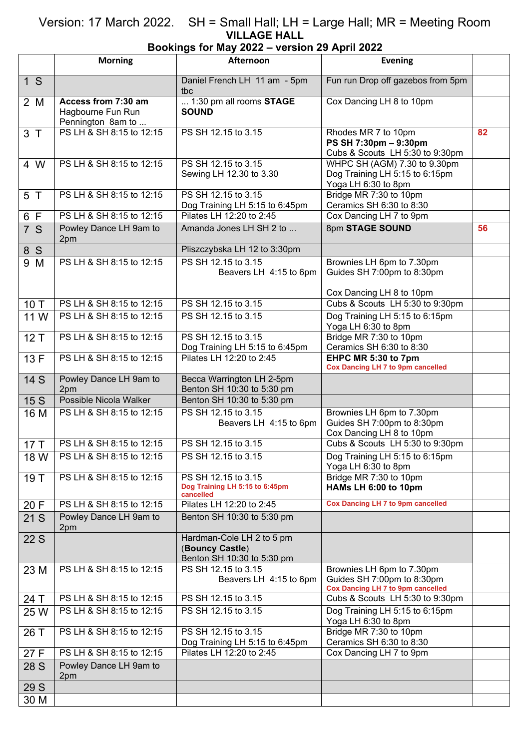## Version: 17 March 2022. SH = Small Hall; LH = Large Hall; MR = Meeting Room **VILLAGE HALL**

## **Bookings for May 2022 – version 29 April 2022**

|                | <b>Morning</b>                                                | Afternoon                                                                  | <b>Evening</b>                                                                                      |    |
|----------------|---------------------------------------------------------------|----------------------------------------------------------------------------|-----------------------------------------------------------------------------------------------------|----|
| 1 <sup>5</sup> |                                                               | Daniel French LH 11 am - 5pm<br>tbc                                        | Fun run Drop off gazebos from 5pm                                                                   |    |
| 2 M            | Access from 7:30 am<br>Hagbourne Fun Run<br>Pennington 8am to | 1:30 pm all rooms STAGE<br><b>SOUND</b>                                    | Cox Dancing LH 8 to 10pm                                                                            |    |
| 3T             | PS LH & SH 8:15 to 12:15                                      | PS SH 12.15 to 3.15                                                        | Rhodes MR 7 to 10pm<br>PS SH 7:30pm - 9:30pm<br>Cubs & Scouts LH 5:30 to 9:30pm                     | 82 |
| 4 W            | PS LH & SH 8:15 to 12:15                                      | PS SH 12.15 to 3.15<br>Sewing LH 12.30 to 3.30                             | WHPC SH (AGM) 7.30 to 9.30pm<br>Dog Training LH 5:15 to 6:15pm<br>Yoga LH 6:30 to 8pm               |    |
| 5 T            | PS LH & SH 8:15 to 12:15                                      | PS SH 12.15 to 3.15<br>Dog Training LH 5:15 to 6:45pm                      | Bridge MR 7:30 to 10pm<br>Ceramics SH 6:30 to 8:30                                                  |    |
| 6 F            | PS LH & SH 8:15 to 12:15                                      | Pilates LH 12:20 to 2:45                                                   | Cox Dancing LH 7 to 9pm                                                                             |    |
| 7S             | Powley Dance LH 9am to<br>2pm                                 | Amanda Jones LH SH 2 to                                                    | 8pm STAGE SOUND                                                                                     | 56 |
| 8 S            |                                                               | Pliszczybska LH 12 to 3:30pm                                               |                                                                                                     |    |
| 9 M            | PS LH & SH 8:15 to 12:15                                      | PS SH 12.15 to 3.15<br>Beavers LH 4:15 to 6pm                              | Brownies LH 6pm to 7.30pm<br>Guides SH 7:00pm to 8:30pm                                             |    |
|                |                                                               |                                                                            | Cox Dancing LH 8 to 10pm                                                                            |    |
| 10 T           | PS LH & SH 8:15 to 12:15                                      | PS SH 12.15 to 3.15                                                        | Cubs & Scouts LH 5:30 to 9:30pm                                                                     |    |
| 11 W           | PS LH & SH 8:15 to 12:15                                      | PS SH 12.15 to 3.15                                                        | Dog Training LH 5:15 to 6:15pm<br>Yoga LH 6:30 to 8pm                                               |    |
| 12T            | PS LH & SH 8:15 to 12:15                                      | PS SH 12.15 to 3.15<br>Dog Training LH 5:15 to 6:45pm                      | Bridge MR 7:30 to 10pm<br>Ceramics SH 6:30 to 8:30                                                  |    |
| 13 F           | PS LH & SH 8:15 to 12:15                                      | Pilates LH 12:20 to 2:45                                                   | EHPC MR 5:30 to 7pm<br><b>Cox Dancing LH 7 to 9pm cancelled</b>                                     |    |
| 14 S           | Powley Dance LH 9am to<br>2pm                                 | Becca Warrington LH 2-5pm<br>Benton SH 10:30 to 5:30 pm                    |                                                                                                     |    |
| 15 S           | Possible Nicola Walker                                        | Benton SH 10:30 to 5:30 pm                                                 |                                                                                                     |    |
| 16 M           | PS LH & SH 8:15 to 12:15                                      | PS SH 12.15 to 3.15<br>Beavers LH 4:15 to 6pm                              | Brownies LH 6pm to 7.30pm<br>Guides SH 7:00pm to 8:30pm<br>Cox Dancing LH 8 to 10pm                 |    |
| 17T            | PS LH & SH 8:15 to 12:15                                      | PS SH 12.15 to 3.15                                                        | Cubs & Scouts LH 5:30 to 9:30pm                                                                     |    |
| 18 W           | PS LH & SH 8:15 to 12:15                                      | PS SH 12.15 to 3.15                                                        | Dog Training LH 5:15 to 6:15pm<br>Yoga LH 6:30 to 8pm                                               |    |
| 19 T           | PS LH & SH 8:15 to 12:15                                      | PS SH 12.15 to 3.15<br>Dog Training LH 5:15 to 6:45pm<br>cancelled         | Bridge MR 7:30 to 10pm<br>HAMs LH 6:00 to 10pm                                                      |    |
| 20 F           | PS LH & SH 8:15 to 12:15                                      | Pilates LH 12:20 to 2:45                                                   | <b>Cox Dancing LH 7 to 9pm cancelled</b>                                                            |    |
| 21 S           | Powley Dance LH 9am to<br>2pm                                 | Benton SH 10:30 to 5:30 pm                                                 |                                                                                                     |    |
| 22 S           |                                                               | Hardman-Cole LH 2 to 5 pm<br>(Bouncy Castle)<br>Benton SH 10:30 to 5:30 pm |                                                                                                     |    |
| 23 M           | PS LH & SH 8:15 to 12:15                                      | PS SH 12.15 to 3.15<br>Beavers LH 4:15 to 6pm                              | Brownies LH 6pm to 7.30pm<br>Guides SH 7:00pm to 8:30pm<br><b>Cox Dancing LH 7 to 9pm cancelled</b> |    |
| 24 T           | PS LH & SH 8:15 to 12:15                                      | PS SH 12.15 to 3.15                                                        | Cubs & Scouts LH 5:30 to 9:30pm                                                                     |    |
| 25 W           | PS LH & SH 8:15 to 12:15                                      | PS SH 12.15 to 3.15                                                        | Dog Training LH 5:15 to 6:15pm<br>Yoga LH 6:30 to 8pm                                               |    |
| 26 T           | PS LH & SH 8:15 to 12:15                                      | PS SH 12.15 to 3.15<br>Dog Training LH 5:15 to 6:45pm                      | Bridge MR 7:30 to 10pm<br>Ceramics SH 6:30 to 8:30                                                  |    |
| 27 F           | PS LH & SH 8:15 to 12:15                                      | Pilates LH 12:20 to 2:45                                                   | Cox Dancing LH 7 to 9pm                                                                             |    |
| 28 S           | Powley Dance LH 9am to<br>2pm                                 |                                                                            |                                                                                                     |    |
| 29 S           |                                                               |                                                                            |                                                                                                     |    |
| 30 M           |                                                               |                                                                            |                                                                                                     |    |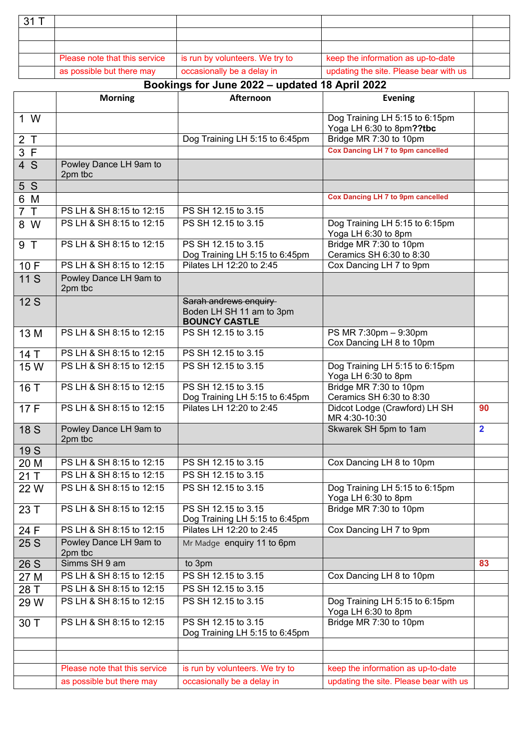| $.31$ $^{-}$ |                               |                                 |                                        |  |
|--------------|-------------------------------|---------------------------------|----------------------------------------|--|
|              |                               |                                 |                                        |  |
|              |                               |                                 |                                        |  |
|              | Please note that this service | is run by volunteers. We try to | keep the information as up-to-date     |  |
|              | as possible but there may     | occasionally be a delay in      | updating the site. Please bear with us |  |

## **Bookings for June 2022 – updated 18 April 2022**

|                | <b>Morning</b>                    | Afternoon                                                                 | <b>Evening</b>                                             |                |
|----------------|-----------------------------------|---------------------------------------------------------------------------|------------------------------------------------------------|----------------|
| 1 W            |                                   |                                                                           | Dog Training LH 5:15 to 6:15pm<br>Yoga LH 6:30 to 8pm??tbc |                |
| 2T             |                                   | Dog Training LH 5:15 to 6:45pm                                            | Bridge MR 7:30 to 10pm                                     |                |
| 3 F            |                                   |                                                                           | <b>Cox Dancing LH 7 to 9pm cancelled</b>                   |                |
| 4 S            | Powley Dance LH 9am to<br>2pm tbc |                                                                           |                                                            |                |
| 5S             |                                   |                                                                           |                                                            |                |
| 6 M            |                                   |                                                                           | <b>Cox Dancing LH 7 to 9pm cancelled</b>                   |                |
| 7 <sub>T</sub> | PS LH & SH 8:15 to 12:15          | PS SH 12.15 to 3.15                                                       |                                                            |                |
| 8 W            | PS LH & SH 8:15 to 12:15          | PS SH 12.15 to 3.15                                                       | Dog Training LH 5:15 to 6:15pm<br>Yoga LH 6:30 to 8pm      |                |
| 9 T            | PS LH & SH 8:15 to 12:15          | PS SH 12.15 to 3.15<br>Dog Training LH 5:15 to 6:45pm                     | Bridge MR 7:30 to 10pm<br>Ceramics SH 6:30 to 8:30         |                |
| 10F            | PS LH & SH 8:15 to 12:15          | Pilates LH 12:20 to 2:45                                                  | Cox Dancing LH 7 to 9pm                                    |                |
| 11 S           | Powley Dance LH 9am to<br>2pm tbc |                                                                           |                                                            |                |
| 12S            |                                   | Sarah andrews enquiry<br>Boden LH SH 11 am to 3pm<br><b>BOUNCY CASTLE</b> |                                                            |                |
| 13 M           | PS LH & SH 8:15 to 12:15          | PS SH 12.15 to 3.15                                                       | PS MR 7:30pm - 9:30pm<br>Cox Dancing LH 8 to 10pm          |                |
| 14 T           | PS LH & SH 8:15 to 12:15          | PS SH 12.15 to 3.15                                                       |                                                            |                |
| 15 W           | PS LH & SH 8:15 to 12:15          | PS SH 12.15 to 3.15                                                       | Dog Training LH 5:15 to 6:15pm<br>Yoga LH 6:30 to 8pm      |                |
| 16 T           | PS LH & SH 8:15 to 12:15          | PS SH 12.15 to 3.15<br>Dog Training LH 5:15 to 6:45pm                     | Bridge MR 7:30 to 10pm<br>Ceramics SH 6:30 to 8:30         |                |
| 17 F           | PS LH & SH 8:15 to 12:15          | Pilates LH 12:20 to 2:45                                                  | Didcot Lodge (Crawford) LH SH<br>MR 4:30-10:30             | 90             |
| <b>18 S</b>    | Powley Dance LH 9am to<br>2pm tbc |                                                                           | Skwarek SH 5pm to 1am                                      | $\overline{2}$ |
| 19 S           |                                   |                                                                           |                                                            |                |
| 20 M           | PS LH & SH 8:15 to 12:15          | PS SH 12.15 to 3.15                                                       | Cox Dancing LH 8 to 10pm                                   |                |
| 21T            | PS LH & SH 8:15 to 12:15          | PS SH 12.15 to 3.15                                                       |                                                            |                |
| 22W            | PS LH & SH 8:15 to 12:15          | PS SH 12.15 to 3.15                                                       | Dog Training LH 5:15 to 6:15pm<br>Yoga LH 6:30 to 8pm      |                |
| 23 T           | PS LH & SH 8:15 to 12:15          | PS SH 12.15 to 3.15<br>Dog Training LH 5:15 to 6:45pm                     | Bridge MR 7:30 to 10pm                                     |                |
| 24 F           | PS LH & SH 8:15 to 12:15          | Pilates LH 12:20 to 2:45                                                  | Cox Dancing LH 7 to 9pm                                    |                |
| 25 S           | Powley Dance LH 9am to<br>2pm tbc | Mr Madge enquiry 11 to 6pm                                                |                                                            |                |
| 26 S           | Simms SH 9 am                     | to 3pm                                                                    |                                                            | 83             |
| 27 M           | PS LH & SH 8:15 to 12:15          | PS SH 12.15 to 3.15                                                       | Cox Dancing LH 8 to 10pm                                   |                |
| 28 T           | PS LH & SH 8:15 to 12:15          | PS SH 12.15 to 3.15                                                       |                                                            |                |
| 29 W           | PS LH & SH 8:15 to 12:15          | PS SH 12.15 to 3.15                                                       | Dog Training LH 5:15 to 6:15pm<br>Yoga LH 6:30 to 8pm      |                |
| 30 T           | PS LH & SH 8:15 to 12:15          | PS SH 12.15 to 3.15<br>Dog Training LH 5:15 to 6:45pm                     | Bridge MR 7:30 to 10pm                                     |                |
|                |                                   |                                                                           |                                                            |                |
|                | Please note that this service     | is run by volunteers. We try to                                           | keep the information as up-to-date                         |                |
|                | as possible but there may         | occasionally be a delay in                                                | updating the site. Please bear with us                     |                |
|                |                                   |                                                                           |                                                            |                |